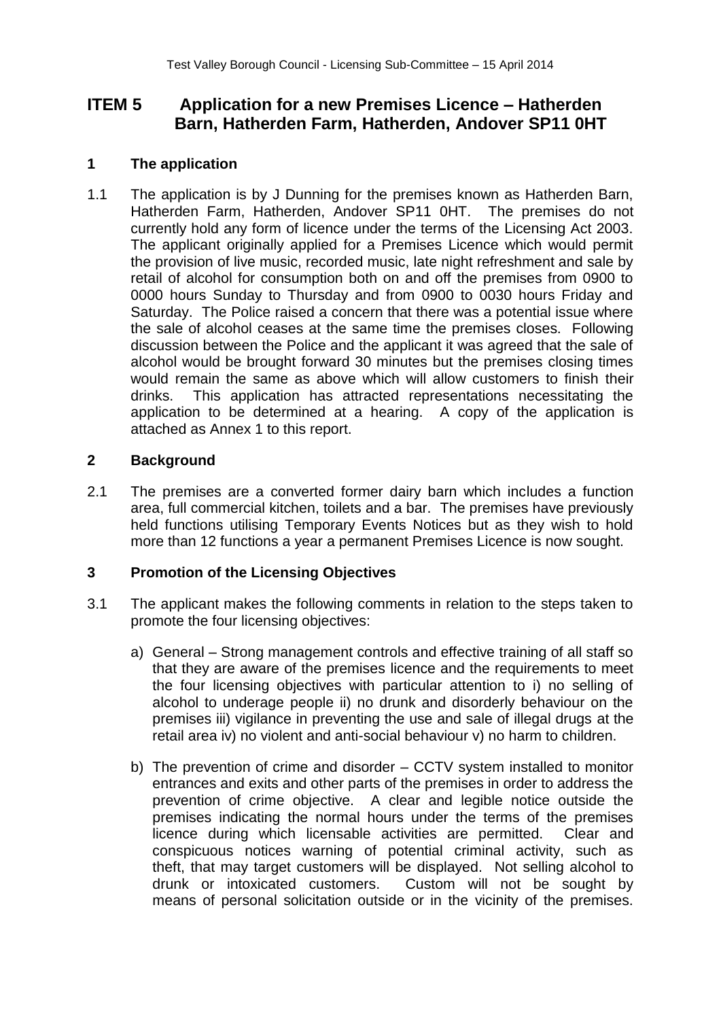# **ITEM 5 Application for a new Premises Licence – Hatherden Barn, Hatherden Farm, Hatherden, Andover SP11 0HT**

# **1 The application**

1.1 The application is by J Dunning for the premises known as Hatherden Barn, Hatherden Farm, Hatherden, Andover SP11 0HT. The premises do not currently hold any form of licence under the terms of the Licensing Act 2003. The applicant originally applied for a Premises Licence which would permit the provision of live music, recorded music, late night refreshment and sale by retail of alcohol for consumption both on and off the premises from 0900 to 0000 hours Sunday to Thursday and from 0900 to 0030 hours Friday and Saturday. The Police raised a concern that there was a potential issue where the sale of alcohol ceases at the same time the premises closes. Following discussion between the Police and the applicant it was agreed that the sale of alcohol would be brought forward 30 minutes but the premises closing times would remain the same as above which will allow customers to finish their drinks. This application has attracted representations necessitating the application to be determined at a hearing. A copy of the application is attached as Annex 1 to this report.

# **2 Background**

2.1 The premises are a converted former dairy barn which includes a function area, full commercial kitchen, toilets and a bar. The premises have previously held functions utilising Temporary Events Notices but as they wish to hold more than 12 functions a year a permanent Premises Licence is now sought.

# **3 Promotion of the Licensing Objectives**

- 3.1 The applicant makes the following comments in relation to the steps taken to promote the four licensing objectives:
	- a) General Strong management controls and effective training of all staff so that they are aware of the premises licence and the requirements to meet the four licensing objectives with particular attention to i) no selling of alcohol to underage people ii) no drunk and disorderly behaviour on the premises iii) vigilance in preventing the use and sale of illegal drugs at the retail area iv) no violent and anti-social behaviour v) no harm to children.
	- b) The prevention of crime and disorder CCTV system installed to monitor entrances and exits and other parts of the premises in order to address the prevention of crime objective. A clear and legible notice outside the premises indicating the normal hours under the terms of the premises licence during which licensable activities are permitted. Clear and conspicuous notices warning of potential criminal activity, such as theft, that may target customers will be displayed. Not selling alcohol to drunk or intoxicated customers. Custom will not be sought by means of personal solicitation outside or in the vicinity of the premises.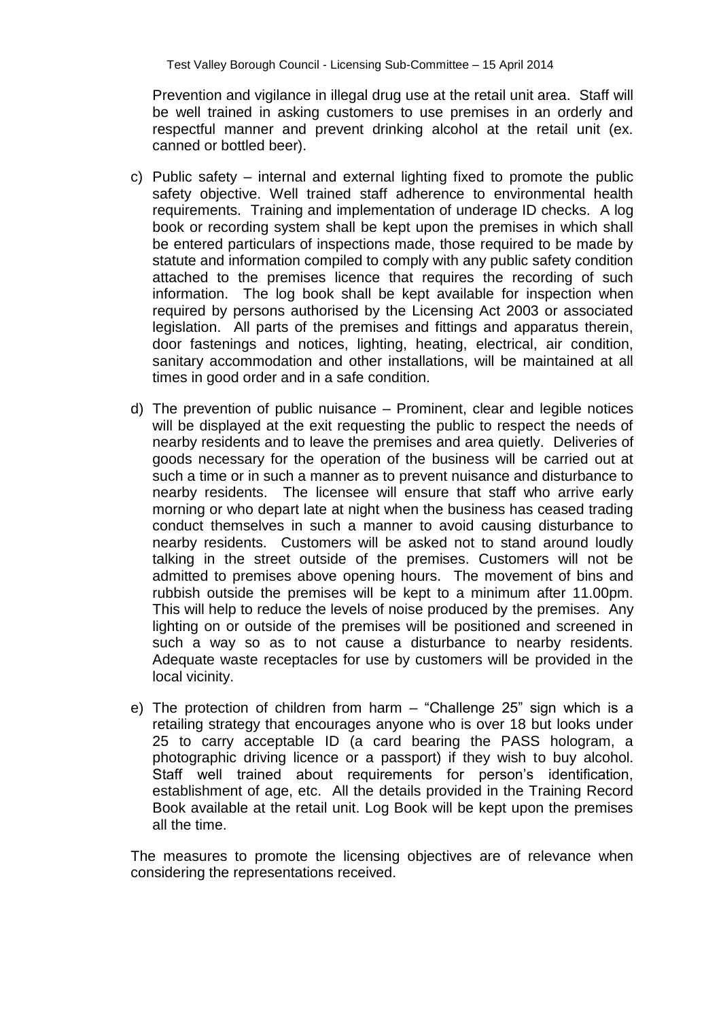Prevention and vigilance in illegal drug use at the retail unit area. Staff will be well trained in asking customers to use premises in an orderly and respectful manner and prevent drinking alcohol at the retail unit (ex. canned or bottled beer).

- c) Public safety internal and external lighting fixed to promote the public safety objective. Well trained staff adherence to environmental health requirements. Training and implementation of underage ID checks. A log book or recording system shall be kept upon the premises in which shall be entered particulars of inspections made, those required to be made by statute and information compiled to comply with any public safety condition attached to the premises licence that requires the recording of such information. The log book shall be kept available for inspection when required by persons authorised by the Licensing Act 2003 or associated legislation. All parts of the premises and fittings and apparatus therein, door fastenings and notices, lighting, heating, electrical, air condition, sanitary accommodation and other installations, will be maintained at all times in good order and in a safe condition.
- d) The prevention of public nuisance Prominent, clear and legible notices will be displayed at the exit requesting the public to respect the needs of nearby residents and to leave the premises and area quietly. Deliveries of goods necessary for the operation of the business will be carried out at such a time or in such a manner as to prevent nuisance and disturbance to nearby residents. The licensee will ensure that staff who arrive early morning or who depart late at night when the business has ceased trading conduct themselves in such a manner to avoid causing disturbance to nearby residents. Customers will be asked not to stand around loudly talking in the street outside of the premises. Customers will not be admitted to premises above opening hours. The movement of bins and rubbish outside the premises will be kept to a minimum after 11.00pm. This will help to reduce the levels of noise produced by the premises. Any lighting on or outside of the premises will be positioned and screened in such a way so as to not cause a disturbance to nearby residents. Adequate waste receptacles for use by customers will be provided in the local vicinity.
- e) The protection of children from harm "Challenge 25" sign which is a retailing strategy that encourages anyone who is over 18 but looks under 25 to carry acceptable ID (a card bearing the PASS hologram, a photographic driving licence or a passport) if they wish to buy alcohol. Staff well trained about requirements for person's identification, establishment of age, etc. All the details provided in the Training Record Book available at the retail unit. Log Book will be kept upon the premises all the time.

The measures to promote the licensing objectives are of relevance when considering the representations received.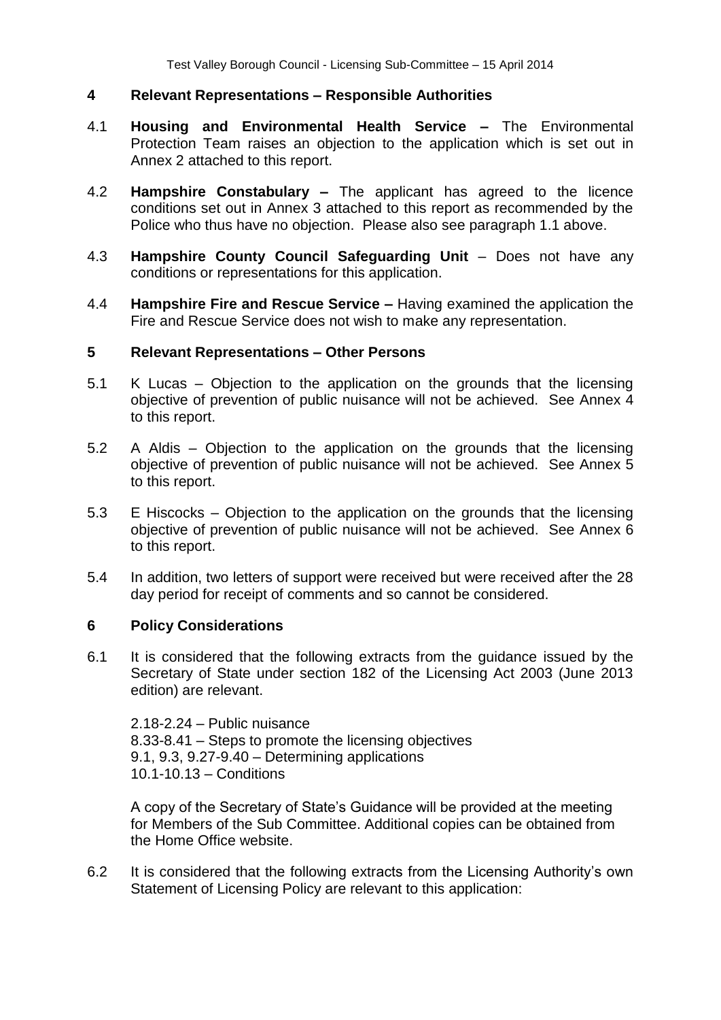### **4 Relevant Representations – Responsible Authorities**

- 4.1 **Housing and Environmental Health Service –** The Environmental Protection Team raises an objection to the application which is set out in Annex 2 attached to this report.
- 4.2 **Hampshire Constabulary –** The applicant has agreed to the licence conditions set out in Annex 3 attached to this report as recommended by the Police who thus have no objection. Please also see paragraph 1.1 above.
- 4.3 **Hampshire County Council Safeguarding Unit**  Does not have any conditions or representations for this application.
- 4.4 **Hampshire Fire and Rescue Service –** Having examined the application the Fire and Rescue Service does not wish to make any representation.

#### **5 Relevant Representations – Other Persons**

- 5.1 K Lucas Objection to the application on the grounds that the licensing objective of prevention of public nuisance will not be achieved. See Annex 4 to this report.
- 5.2 A Aldis Objection to the application on the grounds that the licensing objective of prevention of public nuisance will not be achieved. See Annex 5 to this report.
- 5.3 E Hiscocks Objection to the application on the grounds that the licensing objective of prevention of public nuisance will not be achieved. See Annex 6 to this report.
- 5.4 In addition, two letters of support were received but were received after the 28 day period for receipt of comments and so cannot be considered.

#### **6 Policy Considerations**

6.1 It is considered that the following extracts from the guidance issued by the Secretary of State under section 182 of the Licensing Act 2003 (June 2013 edition) are relevant.

2.18-2.24 – Public nuisance 8.33-8.41 – Steps to promote the licensing objectives 9.1, 9.3, 9.27-9.40 – Determining applications 10.1-10.13 – Conditions

A copy of the Secretary of State's Guidance will be provided at the meeting for Members of the Sub Committee. Additional copies can be obtained from the Home Office website.

6.2 It is considered that the following extracts from the Licensing Authority's own Statement of Licensing Policy are relevant to this application: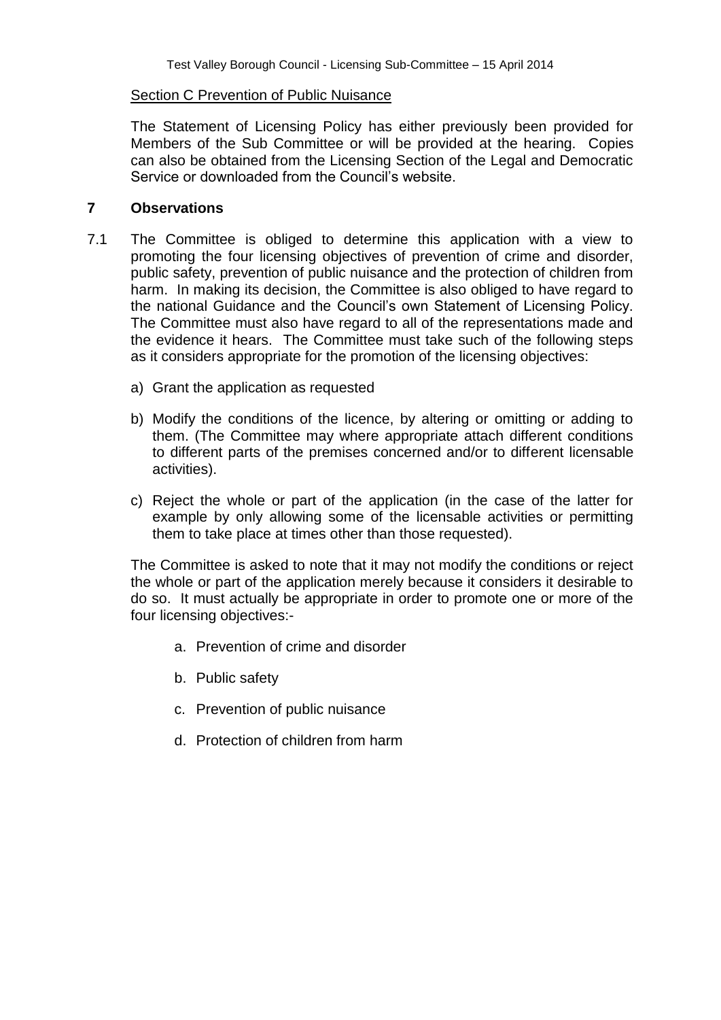### Section C Prevention of Public Nuisance

The Statement of Licensing Policy has either previously been provided for Members of the Sub Committee or will be provided at the hearing. Copies can also be obtained from the Licensing Section of the Legal and Democratic Service or downloaded from the Council's website.

### **7 Observations**

- 7.1 The Committee is obliged to determine this application with a view to promoting the four licensing objectives of prevention of crime and disorder, public safety, prevention of public nuisance and the protection of children from harm. In making its decision, the Committee is also obliged to have regard to the national Guidance and the Council's own Statement of Licensing Policy. The Committee must also have regard to all of the representations made and the evidence it hears. The Committee must take such of the following steps as it considers appropriate for the promotion of the licensing objectives:
	- a) Grant the application as requested
	- b) Modify the conditions of the licence, by altering or omitting or adding to them. (The Committee may where appropriate attach different conditions to different parts of the premises concerned and/or to different licensable activities).
	- c) Reject the whole or part of the application (in the case of the latter for example by only allowing some of the licensable activities or permitting them to take place at times other than those requested).

The Committee is asked to note that it may not modify the conditions or reject the whole or part of the application merely because it considers it desirable to do so. It must actually be appropriate in order to promote one or more of the four licensing objectives:-

- a. Prevention of crime and disorder
- b. Public safety
- c. Prevention of public nuisance
- d. Protection of children from harm